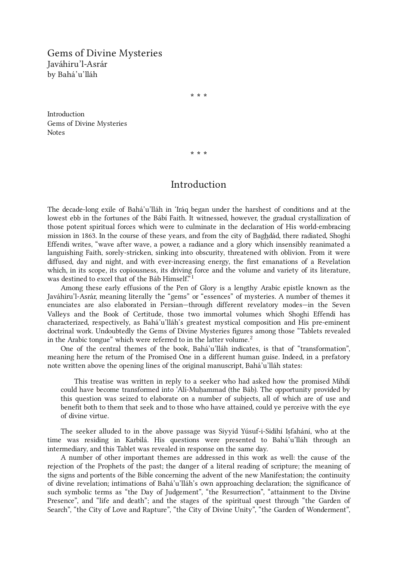Gems of Divine Mysteries Javáhiru'l-Asrár by Bahá'u'lláh

\* \* \*

[Introduction](#page-0-0) Gems of Divine [Mysteries](#page-2-0) [Notes](#page-21-0)

\* \* \*

## <span id="page-0-0"></span>Introduction

<span id="page-0-1"></span>The decade-long exile of Bahá'u'lláh in 'Iráq began under the harshest of conditions and at the lowest ebb in the fortunes of the Bábí Faith. It witnessed, however, the gradual crystallization of those potent spiritual forces which were to culminate in the declaration of His world-embracing mission in 1863. In the course of these years, and from the city of Baghdád, there radiated, Shoghi Effendi writes, "wave after wave, a power, a radiance and a glory which insensibly reanimated a languishing Faith, sorely-stricken, sinking into obscurity, threatened with oblivion. From it were diffused, day and night, and with ever-increasing energy, the first emanations of a Revelation which, in its scope, its copiousness, its driving force and the volume and variety of its literature, was destined to excel that of the Báb Himself." [1](#page-21-1)

<span id="page-0-2"></span>Among these early effusions of the Pen of Glory is a lengthy Arabic epistle known as the Javáhiru'l-Asrár, meaning literally the "gems" or "essences" of mysteries. A number of themes it enunciates are also elaborated in Persian—through different revelatory modes—in the Seven Valleys and the Book of Certitude, those two immortal volumes which Shoghi Effendi has characterized, respectively, as Bahá'u'lláh's greatest mystical composition and His pre-eminent doctrinal work. Undoubtedly the Gems of Divine Mysteries figures among those "Tablets revealed in the Arabic tongue" which were referred to in the latter volume. $^2$  $^2$ 

One of the central themes of the book, Bahá'u'lláh indicates, is that of "transformation", meaning here the return of the Promised One in a different human guise. Indeed, in a prefatory note written above the opening lines of the original manuscript, Bahá'u'lláh states:

This treatise was written in reply to a seeker who had asked how the promised Mihdí could have become transformed into 'Alí-Muhammad (the Báb). The opportunity provided by this question was seized to elaborate on a number of subjects, all of which are of use and benefit both to them that seek and to those who have attained, could ye perceive with the eye of divine virtue.

The seeker alluded to in the above passage was Siyyid Yúsuf-i-Sidihí Iṣfahání, who at the time was residing in Karbilá. His questions were presented to Bahá'u'lláh through an intermediary, and this Tablet was revealed in response on the same day.

A number of other important themes are addressed in this work as well: the cause of the rejection of the Prophets of the past; the danger of a literal reading of scripture; the meaning of the signs and portents of the Bible concerning the advent of the new Manifestation; the continuity of divine revelation; intimations of Bahá'u'lláh's own approaching declaration; the significance of such symbolic terms as "the Day of Judgement", "the Resurrection", "attainment to the Divine Presence", and "life and death"; and the stages of the spiritual quest through "the Garden of Search", "the City of Love and Rapture", "the City of Divine Unity", "the Garden of Wonderment",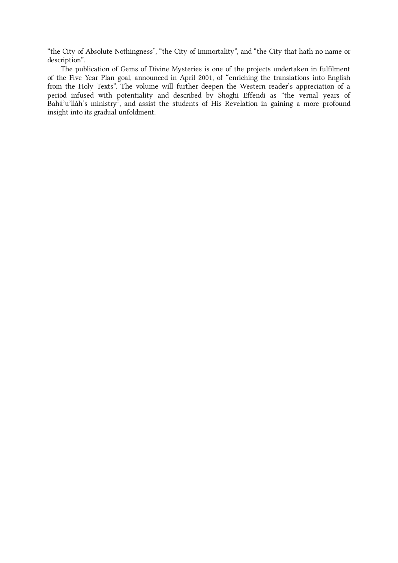"the City of Absolute Nothingness", "the City of Immortality", and "the City that hath no name or description".

The publication of Gems of Divine Mysteries is one of the projects undertaken in fulfilment of the Five Year Plan goal, announced in April 2001, of "enriching the translations into English from the Holy Texts". The volume will further deepen the Western reader's appreciation of a period infused with potentiality and described by Shoghi Effendi as "the vernal years of Bahá'u'lláh's ministry", and assist the students of His Revelation in gaining a more profound insight into its gradual unfoldment.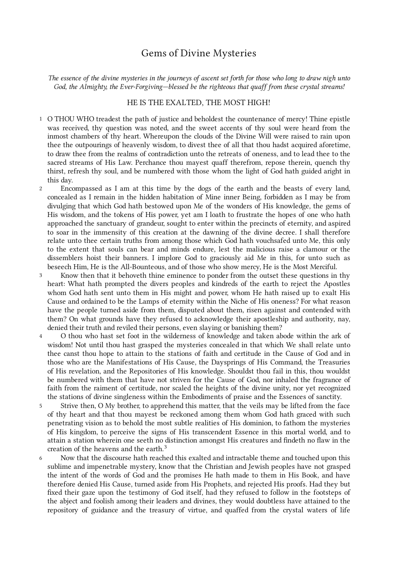## <span id="page-2-0"></span>Gems of Divine Mysteries

The essence of the divine mysteries in the journeys of ascent set forth for those who long to draw nigh unto God, the Almighty, the Ever-Forgiving—blessed be the righteous that quaff from these crystal streams!

## HE IS THE EXALTED, THE MOST HIGH!

- O THOU WHO treadest the path of justice and beholdest the countenance of mercy! Thine epistle 1 was received, thy question was noted, and the sweet accents of thy soul were heard from the inmost chambers of thy heart. Whereupon the clouds of the Divine Will were raised to rain upon thee the outpourings of heavenly wisdom, to divest thee of all that thou hadst acquired aforetime, to draw thee from the realms of contradiction unto the retreats of oneness, and to lead thee to the sacred streams of His Law. Perchance thou mayest quaff therefrom, repose therein, quench thy thirst, refresh thy soul, and be numbered with those whom the light of God hath guided aright in this day.
- Encompassed as I am at this time by the dogs of the earth and the beasts of every land, concealed as I remain in the hidden habitation of Mine inner Being, forbidden as I may be from divulging that which God hath bestowed upon Me of the wonders of His knowledge, the gems of His wisdom, and the tokens of His power, yet am I loath to frustrate the hopes of one who hath approached the sanctuary of grandeur, sought to enter within the precincts of eternity, and aspired to soar in the immensity of this creation at the dawning of the divine decree. I shall therefore relate unto thee certain truths from among those which God hath vouchsafed unto Me, this only to the extent that souls can bear and minds endure, lest the malicious raise a clamour or the dissemblers hoist their banners. I implore God to graciously aid Me in this, for unto such as beseech Him, He is the All-Bounteous, and of those who show mercy, He is the Most Merciful.  $\overline{2}$
- Know then that it behoveth thine eminence to ponder from the outset these questions in thy heart: What hath prompted the divers peoples and kindreds of the earth to reject the Apostles whom God hath sent unto them in His might and power, whom He hath raised up to exalt His Cause and ordained to be the Lamps of eternity within the Niche of His oneness? For what reason have the people turned aside from them, disputed about them, risen against and contended with them? On what grounds have they refused to acknowledge their apostleship and authority, nay, denied their truth and reviled their persons, even slaying or banishing them? 3
- O thou who hast set foot in the wilderness of knowledge and taken abode within the ark of wisdom! Not until thou hast grasped the mysteries concealed in that which We shall relate unto thee canst thou hope to attain to the stations of faith and certitude in the Cause of God and in those who are the Manifestations of His Cause, the Daysprings of His Command, the Treasuries of His revelation, and the Repositories of His knowledge. Shouldst thou fail in this, thou wouldst be numbered with them that have not striven for the Cause of God, nor inhaled the fragrance of faith from the raiment of certitude, nor scaled the heights of the divine unity, nor yet recognized the stations of divine singleness within the Embodiments of praise and the Essences of sanctity. 4
- <span id="page-2-1"></span>Strive then, O My brother, to apprehend this matter, that the veils may be lifted from the face of thy heart and that thou mayest be reckoned among them whom God hath graced with such penetrating vision as to behold the most subtle realities of His dominion, to fathom the mysteries of His kingdom, to perceive the signs of His transcendent Essence in this mortal world, and to attain a station wherein one seeth no distinction amongst His creatures and findeth no flaw in the creation of the heavens and the earth. [3](#page-21-3) 5
- Now that the discourse hath reached this exalted and intractable theme and touched upon this sublime and impenetrable mystery, know that the Christian and Jewish peoples have not grasped the intent of the words of God and the promises He hath made to them in His Book, and have therefore denied His Cause, turned aside from His Prophets, and rejected His proofs. Had they but fixed their gaze upon the testimony of God itself, had they refused to follow in the footsteps of the abject and foolish among their leaders and divines, they would doubtless have attained to the repository of guidance and the treasury of virtue, and quaffed from the crystal waters of life 6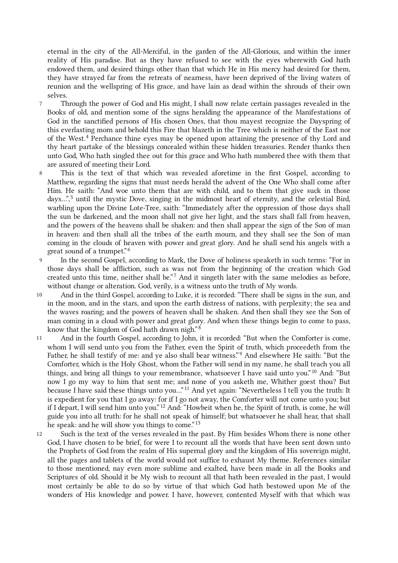eternal in the city of the All-Merciful, in the garden of the All-Glorious, and within the inner reality of His paradise. But as they have refused to see with the eyes wherewith God hath endowed them, and desired things other than that which He in His mercy had desired for them, they have strayed far from the retreats of nearness, have been deprived of the living waters of reunion and the wellspring of His grace, and have lain as dead within the shrouds of their own selves.

- <span id="page-3-0"></span>Through the power of God and His might, I shall now relate certain passages revealed in the Books of old, and mention some of the signs heralding the appearance of the Manifestations of God in the sanctified persons of His chosen Ones, that thou mayest recognize the Dayspring of this everlasting morn and behold this Fire that blazeth in the Tree which is neither of the East nor of the West. [4](#page-21-4) Perchance thine eyes may be opened upon attaining the presence of thy Lord and thy heart partake of the blessings concealed within these hidden treasuries. Render thanks then unto God, Who hath singled thee out for this grace and Who hath numbered thee with them that are assured of meeting their Lord. 7
- <span id="page-3-1"></span>This is the text of that which was revealed aforetime in the first Gospel, according to Matthew, regarding the signs that must needs herald the advent of the One Who shall come after Him. He saith: "And woe unto them that are with child, and to them that give suck in those days…", [5](#page-21-5) until the mystic Dove, singing in the midmost heart of eternity, and the celestial Bird, warbling upon the Divine Lote-Tree, saith: "Immediately after the oppression of those days shall the sun be darkened, and the moon shall not give her light, and the stars shall fall from heaven, and the powers of the heavens shall be shaken: and then shall appear the sign of the Son of man in heaven: and then shall all the tribes of the earth mourn, and they shall see the Son of man coming in the clouds of heaven with power and great glory. And he shall send his angels with a great sound of a trumpet." [6](#page-21-6) 8
- <span id="page-3-2"></span>In the second Gospel, according to Mark, the Dove of holiness speaketh in such terms: "For in those days shall be affliction, such as was not from the beginning of the creation which God created unto this time, neither shall be."<sup>[7](#page-21-7)</sup> And it singeth later with the same melodies as before, without change or alteration. God, verily, is a witness unto the truth of My words.  $\overline{Q}$
- <span id="page-3-3"></span>And in the third Gospel, according to Luke, it is recorded: "There shall be signs in the sun, and in the moon, and in the stars, and upon the earth distress of nations, with perplexity; the sea and the waves roaring; and the powers of heaven shall be shaken. And then shall they see the Son of man coming in a cloud with power and great glory. And when these things begin to come to pass, know that the kingdom of God hath drawn nigh."<sup>[8](#page-21-8)</sup> 10
- <span id="page-3-4"></span>And in the fourth Gospel, according to John, it is recorded: "But when the Comforter is come, whom I will send unto you from the Father, even the Spirit of truth, which proceedeth from the Father, he shall testify of me: and ye also shall bear witness."<sup>[9](#page-21-9)</sup> And elsewhere He saith: "But the Comforter, which is the Holy Ghost, whom the Father will send in my name, he shall teach you all things, and bring all things to your remembrance, whatsoever I have said unto you." [10](#page-21-10) And: "But now I go my way to him that sent me; and none of you asketh me, Whither goest thou? But because I have said these things unto you..."<sup>[11](#page-21-11)</sup> And yet again: "Nevertheless I tell you the truth: It is expedient for you that I go away: for if I go not away, the Comforter will not come unto you; but if I depart, I will send him unto you." [12](#page-21-12) And: "Howbeit when he, the Spirit of truth, is come, he will guide you into all truth: for he shall not speak of himself; but whatsoever he shall hear, that shall he speak: and he will show you things to come."<sup>[13](#page-21-13)</sup> 11
- Such is the text of the verses revealed in the past. By Him besides Whom there is none other God, I have chosen to be brief, for were I to recount all the words that have been sent down unto the Prophets of God from the realm of His supernal glory and the kingdom of His sovereign might, all the pages and tablets of the world would not suffice to exhaust My theme. References similar to those mentioned, nay even more sublime and exalted, have been made in all the Books and Scriptures of old. Should it be My wish to recount all that hath been revealed in the past, I would most certainly be able to do so by virtue of that which God hath bestowed upon Me of the wonders of His knowledge and power. I have, however, contented Myself with that which was 12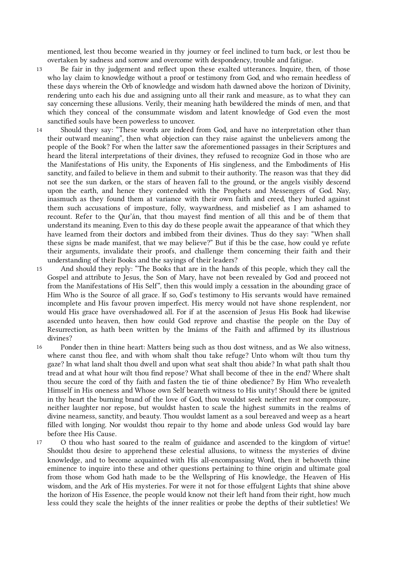mentioned, lest thou become wearied in thy journey or feel inclined to turn back, or lest thou be overtaken by sadness and sorrow and overcome with despondency, trouble and fatigue.

13

Be fair in thy judgement and reflect upon these exalted utterances. Inquire, then, of those who lay claim to knowledge without a proof or testimony from God, and who remain heedless of these days wherein the Orb of knowledge and wisdom hath dawned above the horizon of Divinity, rendering unto each his due and assigning unto all their rank and measure, as to what they can say concerning these allusions. Verily, their meaning hath bewildered the minds of men, and that which they conceal of the consummate wisdom and latent knowledge of God even the most sanctified souls have been powerless to uncover.

- Should they say: "These words are indeed from God, and have no interpretation other than their outward meaning", then what objection can they raise against the unbelievers among the people of the Book? For when the latter saw the aforementioned passages in their Scriptures and heard the literal interpretations of their divines, they refused to recognize God in those who are the Manifestations of His unity, the Exponents of His singleness, and the Embodiments of His sanctity, and failed to believe in them and submit to their authority. The reason was that they did not see the sun darken, or the stars of heaven fall to the ground, or the angels visibly descend upon the earth, and hence they contended with the Prophets and Messengers of God. Nay, inasmuch as they found them at variance with their own faith and creed, they hurled against them such accusations of imposture, folly, waywardness, and misbelief as I am ashamed to recount. Refer to the Qur'án, that thou mayest find mention of all this and be of them that understand its meaning. Even to this day do these people await the appearance of that which they have learned from their doctors and imbibed from their divines. Thus do they say: "When shall these signs be made manifest, that we may believe?" But if this be the case, how could ye refute their arguments, invalidate their proofs, and challenge them concerning their faith and their understanding of their Books and the sayings of their leaders? 14
- And should they reply: "The Books that are in the hands of this people, which they call the Gospel and attribute to Jesus, the Son of Mary, have not been revealed by God and proceed not from the Manifestations of His Self", then this would imply a cessation in the abounding grace of Him Who is the Source of all grace. If so, God's testimony to His servants would have remained incomplete and His favour proven imperfect. His mercy would not have shone resplendent, nor would His grace have overshadowed all. For if at the ascension of Jesus His Book had likewise ascended unto heaven, then how could God reprove and chastise the people on the Day of Resurrection, as hath been written by the Imáms of the Faith and affirmed by its illustrious divines? 15
- Ponder then in thine heart: Matters being such as thou dost witness, and as We also witness, where canst thou flee, and with whom shalt thou take refuge? Unto whom wilt thou turn thy gaze? In what land shalt thou dwell and upon what seat shalt thou abide? In what path shalt thou tread and at what hour wilt thou find repose? What shall become of thee in the end? Where shalt thou secure the cord of thy faith and fasten the tie of thine obedience? By Him Who revealeth Himself in His oneness and Whose own Self beareth witness to His unity! Should there be ignited in thy heart the burning brand of the love of God, thou wouldst seek neither rest nor composure, neither laughter nor repose, but wouldst hasten to scale the highest summits in the realms of divine nearness, sanctity, and beauty. Thou wouldst lament as a soul bereaved and weep as a heart filled with longing. Nor wouldst thou repair to thy home and abode unless God would lay bare before thee His Cause. 16
- O thou who hast soared to the realm of guidance and ascended to the kingdom of virtue! Shouldst thou desire to apprehend these celestial allusions, to witness the mysteries of divine knowledge, and to become acquainted with His all-encompassing Word, then it behoveth thine eminence to inquire into these and other questions pertaining to thine origin and ultimate goal from those whom God hath made to be the Wellspring of His knowledge, the Heaven of His wisdom, and the Ark of His mysteries. For were it not for those effulgent Lights that shine above the horizon of His Essence, the people would know not their left hand from their right, how much less could they scale the heights of the inner realities or probe the depths of their subtleties! We 17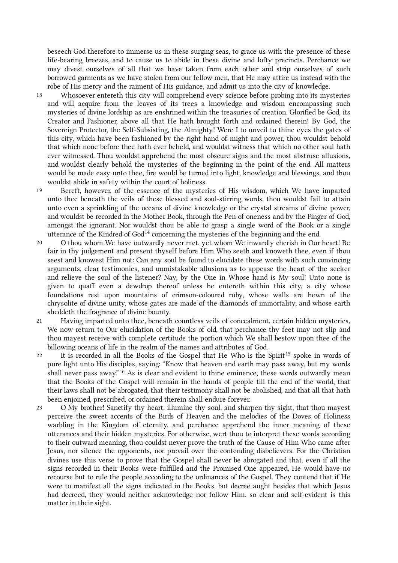beseech God therefore to immerse us in these surging seas, to grace us with the presence of these life-bearing breezes, and to cause us to abide in these divine and lofty precincts. Perchance we may divest ourselves of all that we have taken from each other and strip ourselves of such borrowed garments as we have stolen from our fellow men, that He may attire us instead with the robe of His mercy and the raiment of His guidance, and admit us into the city of knowledge.

18

Whosoever entereth this city will comprehend every science before probing into its mysteries and will acquire from the leaves of its trees a knowledge and wisdom encompassing such mysteries of divine lordship as are enshrined within the treasuries of creation. Glorified be God, its Creator and Fashioner, above all that He hath brought forth and ordained therein! By God, the Sovereign Protector, the Self-Subsisting, the Almighty! Were I to unveil to thine eyes the gates of this city, which have been fashioned by the right hand of might and power, thou wouldst behold that which none before thee hath ever beheld, and wouldst witness that which no other soul hath ever witnessed. Thou wouldst apprehend the most obscure signs and the most abstruse allusions, and wouldst clearly behold the mysteries of the beginning in the point of the end. All matters would be made easy unto thee, fire would be turned into light, knowledge and blessings, and thou wouldst abide in safety within the court of holiness.

<span id="page-5-0"></span>Bereft, however, of the essence of the mysteries of His wisdom, which We have imparted unto thee beneath the veils of these blessed and soul-stirring words, thou wouldst fail to attain unto even a sprinkling of the oceans of divine knowledge or the crystal streams of divine power, and wouldst be recorded in the Mother Book, through the Pen of oneness and by the Finger of God, amongst the ignorant. Nor wouldst thou be able to grasp a single word of the Book or a single utterance of the Kindred of  $God<sup>14</sup> concerning the mysterious of the beginning and the end.$  $God<sup>14</sup> concerning the mysterious of the beginning and the end.$  $God<sup>14</sup> concerning the mysterious of the beginning and the end.$ 19

- O thou whom We have outwardly never met, yet whom We inwardly cherish in Our heart! Be fair in thy judgement and present thyself before Him Who seeth and knoweth thee, even if thou seest and knowest Him not: Can any soul be found to elucidate these words with such convincing arguments, clear testimonies, and unmistakable allusions as to appease the heart of the seeker and relieve the soul of the listener? Nay, by the One in Whose hand is My soul! Unto none is given to quaff even a dewdrop thereof unless he entereth within this city, a city whose foundations rest upon mountains of crimson-coloured ruby, whose walls are hewn of the chrysolite of divine unity, whose gates are made of the diamonds of immortality, and whose earth sheddeth the fragrance of divine bounty. 20
- Having imparted unto thee, beneath countless veils of concealment, certain hidden mysteries, We now return to Our elucidation of the Books of old, that perchance thy feet may not slip and thou mayest receive with complete certitude the portion which We shall bestow upon thee of the billowing oceans of life in the realm of the names and attributes of God. 21
- <span id="page-5-1"></span>It is recorded in all the Books of the Gospel that He Who is the Spirit<sup>[15](#page-21-15)</sup> spoke in words of pure light unto His disciples, saying: "Know that heaven and earth may pass away, but my words shall never pass away."<sup>[16](#page-21-16)</sup> As is clear and evident to thine eminence, these words outwardly mean that the Books of the Gospel will remain in the hands of people till the end of the world, that their laws shall not be abrogated, that their testimony shall not be abolished, and that all that hath been enjoined, prescribed, or ordained therein shall endure forever. 22
- O My brother! Sanctify thy heart, illumine thy soul, and sharpen thy sight, that thou mayest perceive the sweet accents of the Birds of Heaven and the melodies of the Doves of Holiness warbling in the Kingdom of eternity, and perchance apprehend the inner meaning of these utterances and their hidden mysteries. For otherwise, wert thou to interpret these words according to their outward meaning, thou couldst never prove the truth of the Cause of Him Who came after Jesus, nor silence the opponents, nor prevail over the contending disbelievers. For the Christian divines use this verse to prove that the Gospel shall never be abrogated and that, even if all the signs recorded in their Books were fulfilled and the Promised One appeared, He would have no recourse but to rule the people according to the ordinances of the Gospel. They contend that if He were to manifest all the signs indicated in the Books, but decree aught besides that which Jesus had decreed, they would neither acknowledge nor follow Him, so clear and self-evident is this matter in their sight. 23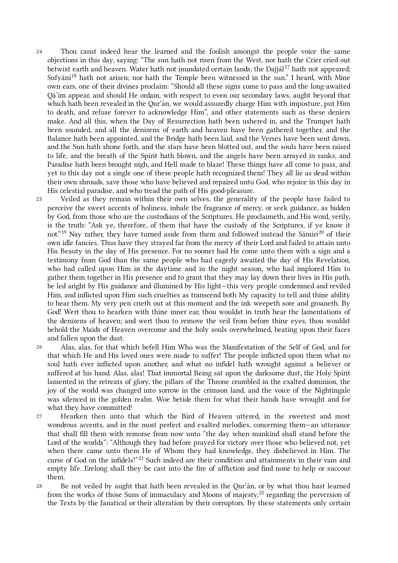- <span id="page-6-0"></span>Thou canst indeed hear the learned and the foolish amongst the people voice the same objections in this day, saying: "The sun hath not risen from the West, nor hath the Crier cried out betwixt earth and heaven. Water hath not inundated certain lands; the Dajjál<sup>[17](#page-21-17)</sup> hath not appeared; Sufyání<sup>[18](#page-21-18)</sup> hath not arisen; nor hath the Temple been witnessed in the sun." I heard, with Mine own ears, one of their divines proclaim: "Should all these signs come to pass and the long-awaited Qá'im appear, and should He ordain, with respect to even our secondary laws, aught beyond that which hath been revealed in the Qur'án, we would assuredly charge Him with imposture, put Him to death, and refuse forever to acknowledge Him", and other statements such as these deniers make. And all this, when the Day of Resurrection hath been ushered in, and the Trumpet hath been sounded, and all the denizens of earth and heaven have been gathered together, and the Balance hath been appointed, and the Bridge hath been laid, and the Verses have been sent down, and the Sun hath shone forth, and the stars have been blotted out, and the souls have been raised to life, and the breath of the Spirit hath blown, and the angels have been arrayed in ranks, and Paradise hath been brought nigh, and Hell made to blaze! These things have all come to pass, and yet to this day not a single one of these people hath recognized them! They all lie as dead within their own shrouds, save those who have believed and repaired unto God, who rejoice in this day in His celestial paradise, and who tread the path of His good-pleasure. 24
- <span id="page-6-1"></span>Veiled as they remain within their own selves, the generality of the people have failed to perceive the sweet accents of holiness, inhale the fragrance of mercy, or seek guidance, as bidden by God, from those who are the custodians of the Scriptures. He proclaimeth, and His word, verily, is the truth: "Ask ye, therefore, of them that have the custody of the Scriptures, if ye know it not."<sup>[19](#page-21-19)</sup> Nay rather, they have turned aside from them and followed instead the Sámirí<sup>[20](#page-21-20)</sup> of their own idle fancies. Thus have they strayed far from the mercy of their Lord and failed to attain unto His Beauty in the day of His presence. For no sooner had He come unto them with a sign and a testimony from God than the same people who had eagerly awaited the day of His Revelation, who had called upon Him in the daytime and in the night season, who had implored Him to gather them together in His presence and to grant that they may lay down their lives in His path, be led aright by His guidance and illumined by His light—this very people condemned and reviled Him, and inflicted upon Him such cruelties as transcend both My capacity to tell and thine ability to hear them. My very pen crieth out at this moment and the ink weepeth sore and groaneth. By God! Wert thou to hearken with thine inner ear, thou wouldst in truth hear the lamentations of the denizens of heaven; and wert thou to remove the veil from before thine eyes, thou wouldst behold the Maids of Heaven overcome and the holy souls overwhelmed, beating upon their faces and fallen upon the dust. Alas, alas, for that which befell Him Who was the Manifestation of the Self of God, and for 25 26
- that which He and His loved ones were made to suffer! The people inflicted upon them what no soul hath ever inflicted upon another, and what no infidel hath wrought against a believer or suffered at his hand. Alas, alas! That immortal Being sat upon the darksome dust, the Holy Spirit lamented in the retreats of glory, the pillars of the Throne crumbled in the exalted dominion, the joy of the world was changed into sorrow in the crimson land, and the voice of the Nightingale was silenced in the golden realm. Woe betide them for what their hands have wrought and for what they have committed!
- <span id="page-6-2"></span>Hearken then unto that which the Bird of Heaven uttered, in the sweetest and most wondrous accents, and in the most perfect and exalted melodies, concerning them—an utterance that shall fill them with remorse from now unto "the day when mankind shall stand before the Lord of the worlds": "Although they had before prayed for victory over those who believed not, yet when there came unto them He of Whom they had knowledge, they disbelieved in Him. The curse of God on the infidels!"<sup>[21](#page-21-21)</sup> Such indeed are their condition and attainments in their vain and empty life. Erelong shall they be cast into the fire of affliction and find none to help or succour them. 27
- <span id="page-6-3"></span>Be not veiled by aught that hath been revealed in the Qur'án, or by what thou hast learned from the works of those Suns of immaculacy and Moons of majesty,<sup>[22](#page-21-22)</sup> regarding the perversion of the Texts by the fanatical or their alteration by their corruptors. By these statements only certain 28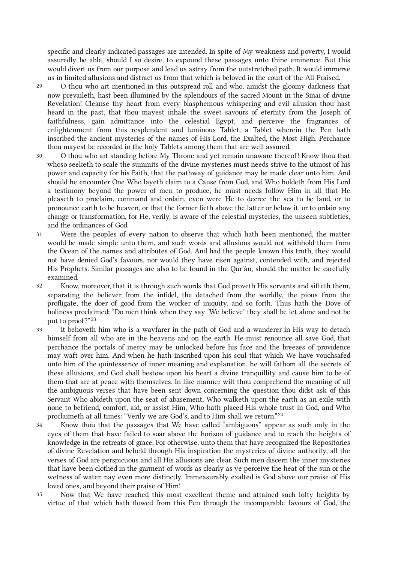specific and clearly indicated passages are intended. In spite of My weakness and poverty, I would assuredly be able, should I so desire, to expound these passages unto thine eminence. But this would divert us from our purpose and lead us astray from the outstretched path. It would immerse us in limited allusions and distract us from that which is beloved in the court of the All-Praised.

29

O thou who art mentioned in this outspread roll and who, amidst the gloomy darkness that now prevaileth, hast been illumined by the splendours of the sacred Mount in the Sinai of divine Revelation! Cleanse thy heart from every blasphemous whispering and evil allusion thou hast heard in the past, that thou mayest inhale the sweet savours of eternity from the Joseph of faithfulness, gain admittance into the celestial Egypt, and perceive the fragrances of enlightenment from this resplendent and luminous Tablet, a Tablet wherein the Pen hath inscribed the ancient mysteries of the names of His Lord, the Exalted, the Most High. Perchance thou mayest be recorded in the holy Tablets among them that are well assured.

- O thou who art standing before My Throne and yet remain unaware thereof! Know thou that whoso seeketh to scale the summits of the divine mysteries must needs strive to the utmost of his power and capacity for his Faith, that the pathway of guidance may be made clear unto him. And should he encounter One Who layeth claim to a Cause from God, and Who holdeth from His Lord a testimony beyond the power of men to produce, he must needs follow Him in all that He pleaseth to proclaim, command and ordain, even were He to decree the sea to be land, or to pronounce earth to be heaven, or that the former lieth above the latter or below it, or to ordain any change or transformation, for He, verily, is aware of the celestial mysteries, the unseen subtleties, and the ordinances of God. 30
- Were the peoples of every nation to observe that which hath been mentioned, the matter would be made simple unto them, and such words and allusions would not withhold them from the Ocean of the names and attributes of God. And had the people known this truth, they would not have denied God's favours, nor would they have risen against, contended with, and rejected His Prophets. Similar passages are also to be found in the Qur'án, should the matter be carefully examined. 31
- <span id="page-7-0"></span>Know, moreover, that it is through such words that God proveth His servants and sifteth them, separating the believer from the infidel, the detached from the worldly, the pious from the profligate, the doer of good from the worker of iniquity, and so forth. Thus hath the Dove of holiness proclaimed: "Do men think when they say 'We believe' they shall be let alone and not be put to proof?" [23](#page-21-23) 32
- <span id="page-7-1"></span>It behoveth him who is a wayfarer in the path of God and a wanderer in His way to detach himself from all who are in the heavens and on the earth. He must renounce all save God, that perchance the portals of mercy may be unlocked before his face and the breezes of providence may waft over him. And when he hath inscribed upon his soul that which We have vouchsafed unto him of the quintessence of inner meaning and explanation, he will fathom all the secrets of these allusions, and God shall bestow upon his heart a divine tranquillity and cause him to be of them that are at peace with themselves. In like manner wilt thou comprehend the meaning of all the ambiguous verses that have been sent down concerning the question thou didst ask of this Servant Who abideth upon the seat of abasement, Who walketh upon the earth as an exile with none to befriend, comfort, aid, or assist Him, Who hath placed His whole trust in God, and Who proclaimeth at all times: "Verily we are God's, and to Him shall we return." $^{24}$  $^{24}$  $^{24}$ 33
- Know thou that the passages that We have called "ambiguous" appear as such only in the eyes of them that have failed to soar above the horizon of guidance and to reach the heights of knowledge in the retreats of grace. For otherwise, unto them that have recognized the Repositories of divine Revelation and beheld through His inspiration the mysteries of divine authority, all the verses of God are perspicuous and all His allusions are clear. Such men discern the inner mysteries that have been clothed in the garment of words as clearly as ye perceive the heat of the sun or the wetness of water, nay even more distinctly. Immeasurably exalted is God above our praise of His loved ones, and beyond their praise of Him! 34
- Now that We have reached this most excellent theme and attained such lofty heights by virtue of that which hath flowed from this Pen through the incomparable favours of God, the 35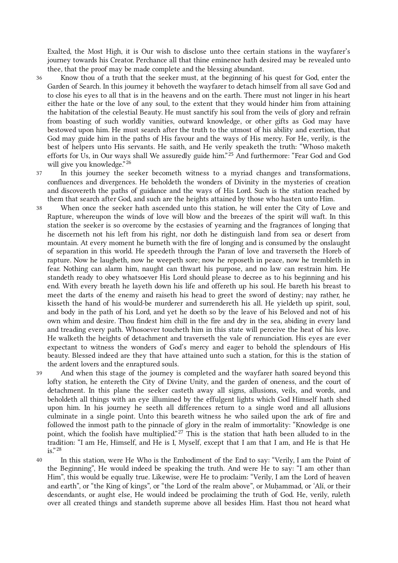Exalted, the Most High, it is Our wish to disclose unto thee certain stations in the wayfarer's journey towards his Creator. Perchance all that thine eminence hath desired may be revealed unto thee, that the proof may be made complete and the blessing abundant.

<span id="page-8-0"></span>Know thou of a truth that the seeker must, at the beginning of his quest for God, enter the Garden of Search. In this journey it behoveth the wayfarer to detach himself from all save God and to close his eyes to all that is in the heavens and on the earth. There must not linger in his heart either the hate or the love of any soul, to the extent that they would hinder him from attaining the habitation of the celestial Beauty. He must sanctify his soul from the veils of glory and refrain from boasting of such worldly vanities, outward knowledge, or other gifts as God may have bestowed upon him. He must search after the truth to the utmost of his ability and exertion, that God may guide him in the paths of His favour and the ways of His mercy. For He, verily, is the best of helpers unto His servants. He saith, and He verily speaketh the truth: "Whoso maketh efforts for Us, in Our ways shall We assuredly guide him."<sup>[25](#page-21-25)</sup> And furthermore: "Fear God and God will give you knowledge."<sup>[26](#page-21-26)</sup> 36

In this journey the seeker becometh witness to a myriad changes and transformations, confluences and divergences. He beholdeth the wonders of Divinity in the mysteries of creation and discovereth the paths of guidance and the ways of His Lord. Such is the station reached by them that search after God, and such are the heights attained by those who hasten unto Him. 37

When once the seeker hath ascended unto this station, he will enter the City of Love and Rapture, whereupon the winds of love will blow and the breezes of the spirit will waft. In this station the seeker is so overcome by the ecstasies of yearning and the fragrances of longing that he discerneth not his left from his right, nor doth he distinguish land from sea or desert from mountain. At every moment he burneth with the fire of longing and is consumed by the onslaught of separation in this world. He speedeth through the Paran of love and traverseth the Horeb of rapture. Now he laugheth, now he weepeth sore; now he reposeth in peace, now he trembleth in fear. Nothing can alarm him, naught can thwart his purpose, and no law can restrain him. He standeth ready to obey whatsoever His Lord should please to decree as to his beginning and his end. With every breath he layeth down his life and offereth up his soul. He bareth his breast to meet the darts of the enemy and raiseth his head to greet the sword of destiny; nay rather, he kisseth the hand of his would-be murderer and surrendereth his all. He yieldeth up spirit, soul, and body in the path of his Lord, and yet he doeth so by the leave of his Beloved and not of his own whim and desire. Thou findest him chill in the fire and dry in the sea, abiding in every land and treading every path. Whosoever toucheth him in this state will perceive the heat of his love. He walketh the heights of detachment and traverseth the vale of renunciation. His eyes are ever expectant to witness the wonders of God's mercy and eager to behold the splendours of His beauty. Blessed indeed are they that have attained unto such a station, for this is the station of the ardent lovers and the enraptured souls. 38

<span id="page-8-1"></span>And when this stage of the journey is completed and the wayfarer hath soared beyond this lofty station, he entereth the City of Divine Unity, and the garden of oneness, and the court of detachment. In this plane the seeker casteth away all signs, allusions, veils, and words, and beholdeth all things with an eye illumined by the effulgent lights which God Himself hath shed upon him. In his journey he seeth all differences return to a single word and all allusions culminate in a single point. Unto this beareth witness he who sailed upon the ark of fire and followed the inmost path to the pinnacle of glory in the realm of immortality: "Knowledge is one point, which the foolish have multiplied."<sup>[27](#page-21-27)</sup> This is the station that hath been alluded to in the tradition: "I am He, Himself, and He is I, Myself, except that I am that I am, and He is that He is." [28](#page-21-28) 39

In this station, were He Who is the Embodiment of the End to say: "Verily, I am the Point of the Beginning", He would indeed be speaking the truth. And were He to say: "I am other than Him", this would be equally true. Likewise, were He to proclaim: "Verily, I am the Lord of heaven and earth", or "the King of kings", or "the Lord of the realm above", or Muhammad, or 'Alí, or their descendants, or aught else, He would indeed be proclaiming the truth of God. He, verily, ruleth over all created things and standeth supreme above all besides Him. Hast thou not heard what 40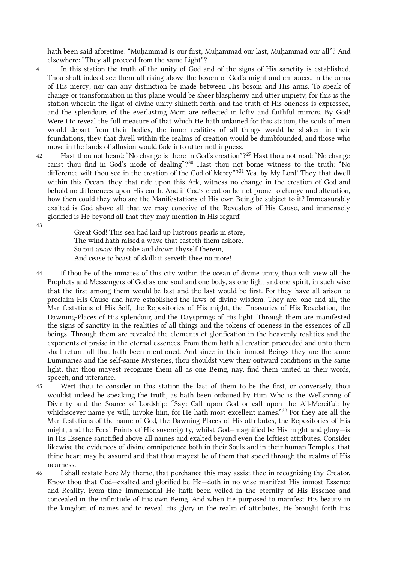hath been said aforetime: "Muḥammad is our first, Muḥammad our last, Muḥammad our all"? And elsewhere: "They all proceed from the same Light"?

- In this station the truth of the unity of God and of the signs of His sanctity is established. Thou shalt indeed see them all rising above the bosom of God's might and embraced in the arms of His mercy; nor can any distinction be made between His bosom and His arms. To speak of change or transformation in this plane would be sheer blasphemy and utter impiety, for this is the station wherein the light of divine unity shineth forth, and the truth of His oneness is expressed, and the splendours of the everlasting Morn are reflected in lofty and faithful mirrors. By God! Were I to reveal the full measure of that which He hath ordained for this station, the souls of men would depart from their bodies, the inner realities of all things would be shaken in their foundations, they that dwell within the realms of creation would be dumbfounded, and those who move in the lands of allusion would fade into utter nothingness. 41
- <span id="page-9-0"></span>Hast thou not heard: "No change is there in God's creation"?<sup>[29](#page-21-29)</sup> Hast thou not read: "No change canst thou find in God's mode of dealing"?<sup>[30](#page-21-30)</sup> Hast thou not borne witness to the truth: "No difference wilt thou see in the creation of the God of Mercy"?<sup>[31](#page-21-31)</sup> Yea, by My Lord! They that dwell within this Ocean, they that ride upon this Ark, witness no change in the creation of God and behold no differences upon His earth. And if God's creation be not prone to change and alteration, how then could they who are the Manifestations of His own Being be subject to it? Immeasurably exalted is God above all that we may conceive of the Revealers of His Cause, and immensely glorified is He beyond all that they may mention in His regard! 42

43

Great God! This sea had laid up lustrous pearls in store; The wind hath raised a wave that casteth them ashore. So put away thy robe and drown thyself therein, And cease to boast of skill: it serveth thee no more!

- If thou be of the inmates of this city within the ocean of divine unity, thou wilt view all the Prophets and Messengers of God as one soul and one body, as one light and one spirit, in such wise that the first among them would be last and the last would be first. For they have all arisen to proclaim His Cause and have established the laws of divine wisdom. They are, one and all, the Manifestations of His Self, the Repositories of His might, the Treasuries of His Revelation, the Dawning-Places of His splendour, and the Daysprings of His light. Through them are manifested the signs of sanctity in the realities of all things and the tokens of oneness in the essences of all beings. Through them are revealed the elements of glorification in the heavenly realities and the exponents of praise in the eternal essences. From them hath all creation proceeded and unto them shall return all that hath been mentioned. And since in their inmost Beings they are the same Luminaries and the self-same Mysteries, thou shouldst view their outward conditions in the same light, that thou mayest recognize them all as one Being, nay, find them united in their words, speech, and utterance. 44
- <span id="page-9-1"></span>Wert thou to consider in this station the last of them to be the first, or conversely, thou wouldst indeed be speaking the truth, as hath been ordained by Him Who is the Wellspring of Divinity and the Source of Lordship: "Say: Call upon God or call upon the All-Merciful: by whichsoever name ye will, invoke him, for He hath most excellent names."<sup>[32](#page-21-32)</sup> For they are all the Manifestations of the name of God, the Dawning-Places of His attributes, the Repositories of His might, and the Focal Points of His sovereignty, whilst God—magnified be His might and glory—is in His Essence sanctified above all names and exalted beyond even the loftiest attributes. Consider likewise the evidences of divine omnipotence both in their Souls and in their human Temples, that thine heart may be assured and that thou mayest be of them that speed through the realms of His nearness. 45
- <span id="page-9-2"></span>I shall restate here My theme, that perchance this may assist thee in recognizing thy Creator. Know thou that God—exalted and glorified be He—doth in no wise manifest His inmost Essence and Reality. From time immemorial He hath been veiled in the eternity of His Essence and concealed in the infinitude of His own Being. And when He purposed to manifest His beauty in the kingdom of names and to reveal His glory in the realm of attributes, He brought forth His 46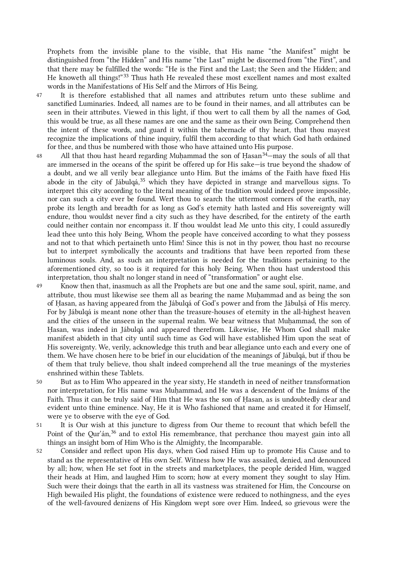Prophets from the invisible plane to the visible, that His name "the Manifest" might be distinguished from "the Hidden" and His name "the Last" might be discerned from "the First", and that there may be fulfilled the words: "He is the First and the Last; the Seen and the Hidden; and He knoweth all things!"<sup>[33](#page-21-33)</sup> Thus hath He revealed these most excellent names and most exalted words in the Manifestations of His Self and the Mirrors of His Being.

It is therefore established that all names and attributes return unto these sublime and sanctified Luminaries. Indeed, all names are to be found in their names, and all attributes can be seen in their attributes. Viewed in this light, if thou wert to call them by all the names of God, this would be true, as all these names are one and the same as their own Being. Comprehend then the intent of these words, and guard it within the tabernacle of thy heart, that thou mayest recognize the implications of thine inquiry, fulfil them according to that which God hath ordained for thee, and thus be numbered with those who have attained unto His purpose. 47

<span id="page-10-0"></span>All that thou hast heard regarding Muḥammad the son of Ḥasan<sup>[34](#page-21-34)</sup>–may the souls of all that are immersed in the oceans of the spirit be offered up for His sake—is true beyond the shadow of a doubt, and we all verily bear allegiance unto Him. But the imáms of the Faith have fixed His abode in the city of Jábulqá,<sup>[35](#page-21-35)</sup> which they have depicted in strange and marvellous signs. To interpret this city according to the literal meaning of the tradition would indeed prove impossible, nor can such a city ever be found. Wert thou to search the uttermost corners of the earth, nay probe its length and breadth for as long as God's eternity hath lasted and His sovereignty will endure, thou wouldst never find a city such as they have described, for the entirety of the earth could neither contain nor encompass it. If thou wouldst lead Me unto this city, I could assuredly lead thee unto this holy Being, Whom the people have conceived according to what they possess and not to that which pertaineth unto Him! Since this is not in thy power, thou hast no recourse but to interpret symbolically the accounts and traditions that have been reported from these luminous souls. And, as such an interpretation is needed for the traditions pertaining to the aforementioned city, so too is it required for this holy Being. When thou hast understood this interpretation, thou shalt no longer stand in need of "transformation" or aught else. 48

Know then that, inasmuch as all the Prophets are but one and the same soul, spirit, name, and attribute, thou must likewise see them all as bearing the name Muḥammad and as being the son of Hasan, as having appeared from the Jábulqá of God's power and from the Jábulsá of His mercy. For by Jábulqá is meant none other than the treasure-houses of eternity in the all-highest heaven and the cities of the unseen in the supernal realm. We bear witness that Muḥammad, the son of Ḥasan, was indeed in Jábulqá and appeared therefrom. Likewise, He Whom God shall make manifest abideth in that city until such time as God will have established Him upon the seat of His sovereignty. We, verily, acknowledge this truth and bear allegiance unto each and every one of them. We have chosen here to be brief in our elucidation of the meanings of Jábulqá, but if thou be of them that truly believe, thou shalt indeed comprehend all the true meanings of the mysteries enshrined within these Tablets. 49

- But as to Him Who appeared in the year sixty, He standeth in need of neither transformation nor interpretation, for His name was Muḥammad, and He was a descendent of the Imáms of the Faith. Thus it can be truly said of Him that He was the son of Ḥasan, as is undoubtedly clear and evident unto thine eminence. Nay, He it is Who fashioned that name and created it for Himself, were ye to observe with the eye of God. 50
- <span id="page-10-1"></span>It is Our wish at this juncture to digress from Our theme to recount that which befell the Point of the Qur'án,<sup>[36](#page-21-36)</sup> and to extol His remembrance, that perchance thou mayest gain into all things an insight born of Him Who is the Almighty, the Incomparable. 51
- Consider and reflect upon His days, when God raised Him up to promote His Cause and to stand as the representative of His own Self. Witness how He was assailed, denied, and denounced by all; how, when He set foot in the streets and marketplaces, the people derided Him, wagged their heads at Him, and laughed Him to scorn; how at every moment they sought to slay Him. Such were their doings that the earth in all its vastness was straitened for Him, the Concourse on High bewailed His plight, the foundations of existence were reduced to nothingness, and the eyes of the well-favoured denizens of His Kingdom wept sore over Him. Indeed, so grievous were the 52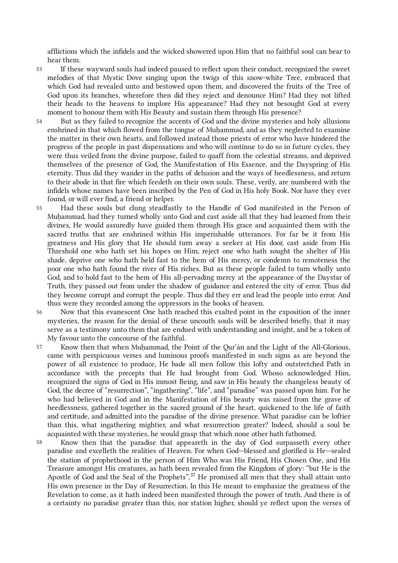afflictions which the infidels and the wicked showered upon Him that no faithful soul can bear to hear them.

- If these wayward souls had indeed paused to reflect upon their conduct, recognized the sweet melodies of that Mystic Dove singing upon the twigs of this snow-white Tree, embraced that which God had revealed unto and bestowed upon them, and discovered the fruits of the Tree of God upon its branches, wherefore then did they reject and denounce Him? Had they not lifted their heads to the heavens to implore His appearance? Had they not besought God at every moment to honour them with His Beauty and sustain them through His presence? 53
- But as they failed to recognize the accents of God and the divine mysteries and holy allusions enshrined in that which flowed from the tongue of Muḥammad, and as they neglected to examine the matter in their own hearts, and followed instead those priests of error who have hindered the progress of the people in past dispensations and who will continue to do so in future cycles, they were thus veiled from the divine purpose, failed to quaff from the celestial streams, and deprived themselves of the presence of God, the Manifestation of His Essence, and the Dayspring of His eternity. Thus did they wander in the paths of delusion and the ways of heedlessness, and return to their abode in that fire which feedeth on their own souls. These, verily, are numbered with the infidels whose names have been inscribed by the Pen of God in His holy Book. Nor have they ever found, or will ever find, a friend or helper. 54
- Had these souls but clung steadfastly to the Handle of God manifested in the Person of Muhammad, had they turned wholly unto God and cast aside all that they had learned from their divines, He would assuredly have guided them through His grace and acquainted them with the sacred truths that are enshrined within His imperishable utterances. For far be it from His greatness and His glory that He should turn away a seeker at His door, cast aside from His Threshold one who hath set his hopes on Him, reject one who hath sought the shelter of His shade, deprive one who hath held fast to the hem of His mercy, or condemn to remoteness the poor one who hath found the river of His riches. But as these people failed to turn wholly unto God, and to hold fast to the hem of His all-pervading mercy at the appearance of the Daystar of Truth, they passed out from under the shadow of guidance and entered the city of error. Thus did they become corrupt and corrupt the people. Thus did they err and lead the people into error. And thus were they recorded among the oppressors in the books of heaven. 55
- 56

Now that this evanescent One hath reached this exalted point in the exposition of the inner mysteries, the reason for the denial of these uncouth souls will be described briefly, that it may serve as a testimony unto them that are endued with understanding and insight, and be a token of My favour unto the concourse of the faithful.

- Know then that when Muhammad, the Point of the Qur'án and the Light of the All-Glorious, came with perspicuous verses and luminous proofs manifested in such signs as are beyond the power of all existence to produce, He bade all men follow this lofty and outstretched Path in accordance with the precepts that He had brought from God. Whoso acknowledged Him, recognized the signs of God in His inmost Being, and saw in His beauty the changeless beauty of God, the decree of "resurrection", "ingathering", "life", and "paradise" was passed upon him. For he who had believed in God and in the Manifestation of His beauty was raised from the grave of heedlessness, gathered together in the sacred ground of the heart, quickened to the life of faith and certitude, and admitted into the paradise of the divine presence. What paradise can be loftier than this, what ingathering mightier, and what resurrection greater? Indeed, should a soul be acquainted with these mysteries, he would grasp that which none other hath fathomed. 57
- <span id="page-11-0"></span>Know then that the paradise that appeareth in the day of God surpasseth every other paradise and excelleth the realities of Heaven. For when God—blessed and glorified is He—sealed the station of prophethood in the person of Him Who was His Friend, His Chosen One, and His Treasure amongst His creatures, as hath been revealed from the Kingdom of glory: "but He is the Apostle of God and the Seal of the Prophets",<sup>[37](#page-21-37)</sup> He promised all men that they shall attain unto His own presence in the Day of Resurrection. In this He meant to emphasize the greatness of the Revelation to come, as it hath indeed been manifested through the power of truth. And there is of a certainty no paradise greater than this, nor station higher, should ye reflect upon the verses of 58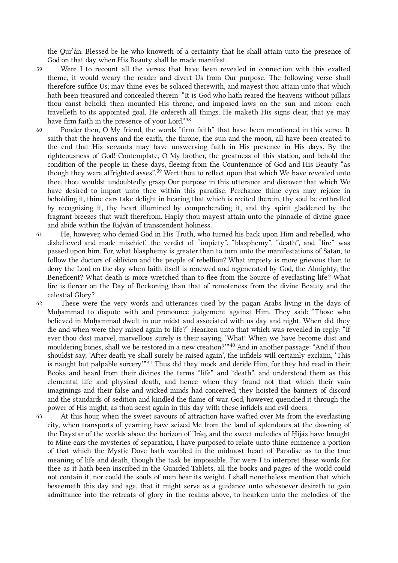<span id="page-12-0"></span>the Qur'án. Blessed be he who knoweth of a certainty that he shall attain unto the presence of God on that day when His Beauty shall be made manifest.

- Were I to recount all the verses that have been revealed in connection with this exalted theme, it would weary the reader and divert Us from Our purpose. The following verse shall therefore suffice Us; may thine eyes be solaced therewith, and mayest thou attain unto that which hath been treasured and concealed therein: "It is God who hath reared the heavens without pillars thou canst behold; then mounted His throne, and imposed laws on the sun and moon: each travelleth to its appointed goal. He ordereth all things. He maketh His signs clear, that ye may have firm faith in the presence of your Lord."<sup>[38](#page-21-38)</sup> 59
- <span id="page-12-1"></span>Ponder then, O My friend, the words "firm faith" that have been mentioned in this verse. It saith that the heavens and the earth, the throne, the sun and the moon, all have been created to the end that His servants may have unswerving faith in His presence in His days. By the righteousness of God! Contemplate, O My brother, the greatness of this station, and behold the condition of the people in these days, fleeing from the Countenance of God and His Beauty "as though they were affrighted asses".<sup>[39](#page-21-39)</sup> Wert thou to reflect upon that which We have revealed unto thee, thou wouldst undoubtedly grasp Our purpose in this utterance and discover that which We have desired to impart unto thee within this paradise. Perchance thine eyes may rejoice in beholding it, thine ears take delight in hearing that which is recited therein, thy soul be enthralled by recognizing it, thy heart illumined by comprehending it, and thy spirit gladdened by the fragrant breezes that waft therefrom. Haply thou mayest attain unto the pinnacle of divine grace and abide within the Riḍván of transcendent holiness. 60
- He, however, who denied God in His Truth, who turned his back upon Him and rebelled, who disbelieved and made mischief, the verdict of "impiety", "blasphemy", "death", and "fire" was passed upon him. For, what blasphemy is greater than to turn unto the manifestations of Satan, to follow the doctors of oblivion and the people of rebellion? What impiety is more grievous than to deny the Lord on the day when faith itself is renewed and regenerated by God, the Almighty, the Beneficent? What death is more wretched than to flee from the Source of everlasting life? What fire is fiercer on the Day of Reckoning than that of remoteness from the divine Beauty and the celestial Glory? 61
- <span id="page-12-2"></span>These were the very words and utterances used by the pagan Arabs living in the days of Muhammad to dispute with and pronounce judgement against Him. They said: "Those who believed in Muḥammad dwelt in our midst and associated with us day and night. When did they die and when were they raised again to life?" Hearken unto that which was revealed in reply: "If ever thou dost marvel, marvellous surely is their saying, 'What! When we have become dust and mouldering bones, shall we be restored in a new creation?'" [40](#page-21-40) And in another passage: "And if thou shouldst say, 'After death ye shall surely be raised again', the infidels will certainly exclaim, 'This is naught but palpable sorcery."<sup>[41](#page-21-41)</sup> Thus did they mock and deride Him, for they had read in their Books and heard from their divines the terms "life" and "death", and understood them as this elemental life and physical death, and hence when they found not that which their vain imaginings and their false and wicked minds had conceived, they hoisted the banners of discord and the standards of sedition and kindled the flame of war. God, however, quenched it through the power of His might, as thou seest again in this day with these infidels and evil-doers. 62
- At this hour, when the sweet savours of attraction have wafted over Me from the everlasting city, when transports of yearning have seized Me from the land of splendours at the dawning of the Daystar of the worlds above the horizon of 'Iráq, and the sweet melodies of Ḥijáz have brought to Mine ears the mysteries of separation, I have purposed to relate unto thine eminence a portion of that which the Mystic Dove hath warbled in the midmost heart of Paradise as to the true meaning of life and death, though the task be impossible. For were I to interpret these words for thee as it hath been inscribed in the Guarded Tablets, all the books and pages of the world could not contain it, nor could the souls of men bear its weight. I shall nonetheless mention that which beseemeth this day and age, that it might serve as a guidance unto whosoever desireth to gain admittance into the retreats of glory in the realms above, to hearken unto the melodies of the 63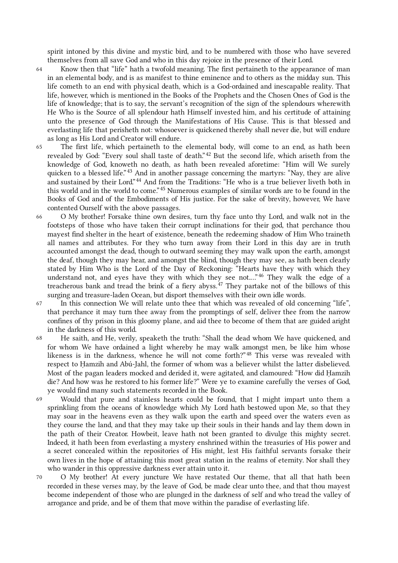spirit intoned by this divine and mystic bird, and to be numbered with those who have severed themselves from all save God and who in this day rejoice in the presence of their Lord.

64

Know then that "life" hath a twofold meaning. The first pertaineth to the appearance of man in an elemental body, and is as manifest to thine eminence and to others as the midday sun. This life cometh to an end with physical death, which is a God-ordained and inescapable reality. That life, however, which is mentioned in the Books of the Prophets and the Chosen Ones of God is the life of knowledge; that is to say, the servant's recognition of the sign of the splendours wherewith He Who is the Source of all splendour hath Himself invested him, and his certitude of attaining unto the presence of God through the Manifestations of His Cause. This is that blessed and everlasting life that perisheth not: whosoever is quickened thereby shall never die, but will endure as long as His Lord and Creator will endure.

- <span id="page-13-0"></span>The first life, which pertaineth to the elemental body, will come to an end, as hath been revealed by God: "Every soul shall taste of death."<sup>[42](#page-21-42)</sup> But the second life, which ariseth from the knowledge of God, knoweth no death, as hath been revealed aforetime: "Him will We surely quicken to a blessed life."<sup>[43](#page-22-0)</sup> And in another passage concerning the martyrs: "Nay, they are alive and sustained by their Lord."<sup>[44](#page-22-1)</sup> And from the Traditions: "He who is a true believer liveth both in this world and in the world to come."<sup>[45](#page-22-2)</sup> Numerous examples of similar words are to be found in the Books of God and of the Embodiments of His justice. For the sake of brevity, however, We have contented Ourself with the above passages. 65
- <span id="page-13-1"></span>O My brother! Forsake thine own desires, turn thy face unto thy Lord, and walk not in the footsteps of those who have taken their corrupt inclinations for their god, that perchance thou mayest find shelter in the heart of existence, beneath the redeeming shadow of Him Who traineth all names and attributes. For they who turn away from their Lord in this day are in truth accounted amongst the dead, though to outward seeming they may walk upon the earth, amongst the deaf, though they may hear, and amongst the blind, though they may see, as hath been clearly stated by Him Who is the Lord of the Day of Reckoning: "Hearts have they with which they understand not, and eyes have they with which they see not...."<sup>[46](#page-22-3)</sup> They walk the edge of a treacherous bank and tread the brink of a fiery abyss.<sup>[47](#page-22-4)</sup> They partake not of the billows of this surging and treasure-laden Ocean, but disport themselves with their own idle words. 66
- In this connection We will relate unto thee that which was revealed of old concerning "life", that perchance it may turn thee away from the promptings of self, deliver thee from the narrow confines of thy prison in this gloomy plane, and aid thee to become of them that are guided aright in the darkness of this world. 67
- <span id="page-13-2"></span>He saith, and He, verily, speaketh the truth: "Shall the dead whom We have quickened, and for whom We have ordained a light whereby he may walk amongst men, be like him whose likeness is in the darkness, whence he will not come forth?" [48](#page-22-5) This verse was revealed with respect to Ḥamzih and Abú-Jahl, the former of whom was a believer whilst the latter disbelieved. Most of the pagan leaders mocked and derided it, were agitated, and clamoured: "How did Ḥamzih die? And how was he restored to his former life?" Were ye to examine carefully the verses of God, ye would find many such statements recorded in the Book. 68
- Would that pure and stainless hearts could be found, that I might impart unto them a sprinkling from the oceans of knowledge which My Lord hath bestowed upon Me, so that they may soar in the heavens even as they walk upon the earth and speed over the waters even as they course the land, and that they may take up their souls in their hands and lay them down in the path of their Creator. Howbeit, leave hath not been granted to divulge this mighty secret. Indeed, it hath been from everlasting a mystery enshrined within the treasuries of His power and a secret concealed within the repositories of His might, lest His faithful servants forsake their own lives in the hope of attaining this most great station in the realms of eternity. Nor shall they who wander in this oppressive darkness ever attain unto it. 69
- O My brother! At every juncture We have restated Our theme, that all that hath been recorded in these verses may, by the leave of God, be made clear unto thee, and that thou mayest become independent of those who are plunged in the darkness of self and who tread the valley of arrogance and pride, and be of them that move within the paradise of everlasting life. 70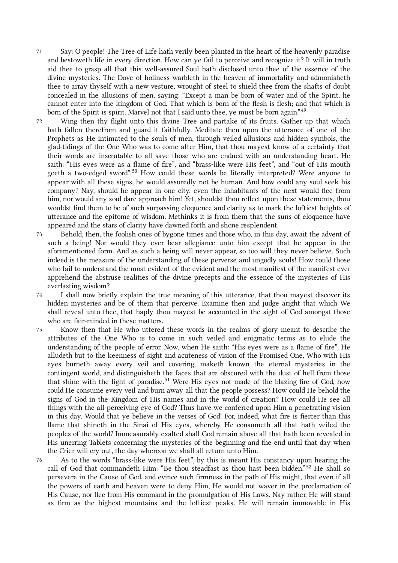- <span id="page-14-0"></span>Say: O people! The Tree of Life hath verily been planted in the heart of the heavenly paradise and bestoweth life in every direction. How can ye fail to perceive and recognize it? It will in truth aid thee to grasp all that this well-assured Soul hath disclosed unto thee of the essence of the divine mysteries. The Dove of holiness warbleth in the heaven of immortality and admonisheth thee to array thyself with a new vesture, wrought of steel to shield thee from the shafts of doubt concealed in the allusions of men, saying: "Except a man be born of water and of the Spirit, he cannot enter into the kingdom of God. That which is born of the flesh is flesh; and that which is born of the Spirit is spirit. Marvel not that I said unto thee, ye must be born again."<sup>[49](#page-22-6)</sup> 71
- <span id="page-14-1"></span>Wing then thy flight unto this divine Tree and partake of its fruits. Gather up that which hath fallen therefrom and guard it faithfully. Meditate then upon the utterance of one of the Prophets as He intimated to the souls of men, through veiled allusions and hidden symbols, the glad-tidings of the One Who was to come after Him, that thou mayest know of a certainty that their words are inscrutable to all save those who are endued with an understanding heart. He saith: "His eyes were as a flame of fire", and "brass-like were His feet", and "out of His mouth goeth a two-edged sword".<sup>[50](#page-22-7)</sup> How could these words be literally interpreted? Were anyone to appear with all these signs, he would assuredly not be human. And how could any soul seek his company? Nay, should he appear in one city, even the inhabitants of the next would flee from him, nor would any soul dare approach him! Yet, shouldst thou reflect upon these statements, thou wouldst find them to be of such surpassing eloquence and clarity as to mark the loftiest heights of utterance and the epitome of wisdom. Methinks it is from them that the suns of eloquence have appeared and the stars of clarity have dawned forth and shone resplendent. 72
- Behold, then, the foolish ones of bygone times and those who, in this day, await the advent of such a being! Nor would they ever bear allegiance unto him except that he appear in the aforementioned form. And as such a being will never appear, so too will they never believe. Such indeed is the measure of the understanding of these perverse and ungodly souls! How could those who fail to understand the most evident of the evident and the most manifest of the manifest ever apprehend the abstruse realities of the divine precepts and the essence of the mysteries of His everlasting wisdom? 73
- I shall now briefly explain the true meaning of this utterance, that thou mayest discover its hidden mysteries and be of them that perceive. Examine then and judge aright that which We shall reveal unto thee, that haply thou mayest be accounted in the sight of God amongst those who are fair-minded in these matters. 74
- <span id="page-14-2"></span>Know then that He who uttered these words in the realms of glory meant to describe the attributes of the One Who is to come in such veiled and enigmatic terms as to elude the understanding of the people of error. Now, when He saith: "His eyes were as a flame of fire", He alludeth but to the keenness of sight and acuteness of vision of the Promised One, Who with His eyes burneth away every veil and covering, maketh known the eternal mysteries in the contingent world, and distinguisheth the faces that are obscured with the dust of hell from those that shine with the light of paradise.<sup>[51](#page-22-8)</sup> Were His eyes not made of the blazing fire of God, how could He consume every veil and burn away all that the people possess? How could He behold the signs of God in the Kingdom of His names and in the world of creation? How could He see all things with the all-perceiving eye of God? Thus have we conferred upon Him a penetrating vision in this day. Would that ye believe in the verses of God! For, indeed, what fire is fiercer than this flame that shineth in the Sinai of His eyes, whereby He consumeth all that hath veiled the peoples of the world? Immeasurably exalted shall God remain above all that hath been revealed in His unerring Tablets concerning the mysteries of the beginning and the end until that day when the Crier will cry out, the day whereon we shall all return unto Him. 75
- <span id="page-14-3"></span>As to the words "brass-like were His feet", by this is meant His constancy upon hearing the call of God that commandeth Him: "Be thou steadfast as thou hast been bidden." [52](#page-22-9) He shall so persevere in the Cause of God, and evince such firmness in the path of His might, that even if all the powers of earth and heaven were to deny Him, He would not waver in the proclamation of His Cause, nor flee from His command in the promulgation of His Laws. Nay rather, He will stand as firm as the highest mountains and the loftiest peaks. He will remain immovable in His 76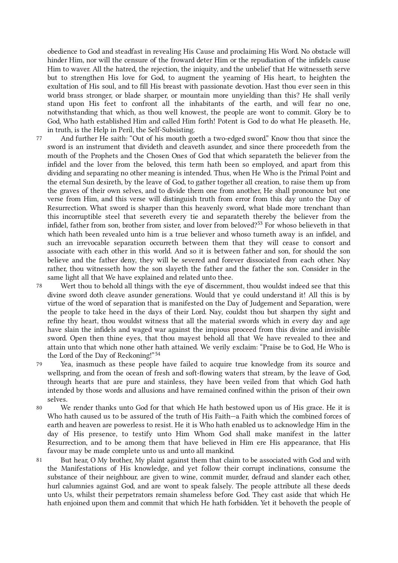obedience to God and steadfast in revealing His Cause and proclaiming His Word. No obstacle will hinder Him, nor will the censure of the froward deter Him or the repudiation of the infidels cause Him to waver. All the hatred, the rejection, the iniquity, and the unbelief that He witnesseth serve but to strengthen His love for God, to augment the yearning of His heart, to heighten the exultation of His soul, and to fill His breast with passionate devotion. Hast thou ever seen in this world brass stronger, or blade sharper, or mountain more unyielding than this? He shall verily stand upon His feet to confront all the inhabitants of the earth, and will fear no one, notwithstanding that which, as thou well knowest, the people are wont to commit. Glory be to God, Who hath established Him and called Him forth! Potent is God to do what He pleaseth. He, in truth, is the Help in Peril, the Self-Subsisting.

- <span id="page-15-0"></span>And further He saith: "Out of his mouth goeth a two-edged sword." Know thou that since the sword is an instrument that divideth and cleaveth asunder, and since there proceedeth from the mouth of the Prophets and the Chosen Ones of God that which separateth the believer from the infidel and the lover from the beloved, this term hath been so employed, and apart from this dividing and separating no other meaning is intended. Thus, when He Who is the Primal Point and the eternal Sun desireth, by the leave of God, to gather together all creation, to raise them up from the graves of their own selves, and to divide them one from another, He shall pronounce but one verse from Him, and this verse will distinguish truth from error from this day unto the Day of Resurrection. What sword is sharper than this heavenly sword, what blade more trenchant than this incorruptible steel that severeth every tie and separateth thereby the believer from the infidel, father from son, brother from sister, and lover from beloved? [53](#page-22-10) For whoso believeth in that which hath been revealed unto him is a true believer and whoso turneth away is an infidel, and such an irrevocable separation occurreth between them that they will cease to consort and associate with each other in this world. And so it is between father and son, for should the son believe and the father deny, they will be severed and forever dissociated from each other. Nay rather, thou witnesseth how the son slayeth the father and the father the son. Consider in the same light all that We have explained and related unto thee. 77
- <span id="page-15-1"></span>Wert thou to behold all things with the eye of discernment, thou wouldst indeed see that this divine sword doth cleave asunder generations. Would that ye could understand it! All this is by virtue of the word of separation that is manifested on the Day of Judgement and Separation, were the people to take heed in the days of their Lord. Nay, couldst thou but sharpen thy sight and refine thy heart, thou wouldst witness that all the material swords which in every day and age have slain the infidels and waged war against the impious proceed from this divine and invisible sword. Open then thine eyes, that thou mayest behold all that We have revealed to thee and attain unto that which none other hath attained. We verily exclaim: "Praise be to God, He Who is the Lord of the Day of Reckoning!" [54](#page-22-11) 78
- Yea, inasmuch as these people have failed to acquire true knowledge from its source and wellspring, and from the ocean of fresh and soft-flowing waters that stream, by the leave of God, through hearts that are pure and stainless, they have been veiled from that which God hath intended by those words and allusions and have remained confined within the prison of their own selves. 79
- We render thanks unto God for that which He hath bestowed upon us of His grace. He it is Who hath caused us to be assured of the truth of His Faith—a Faith which the combined forces of earth and heaven are powerless to resist. He it is Who hath enabled us to acknowledge Him in the day of His presence, to testify unto Him Whom God shall make manifest in the latter Resurrection, and to be among them that have believed in Him ere His appearance, that His favour may be made complete unto us and unto all mankind.  $80$
- But hear, O My brother, My plaint against them that claim to be associated with God and with the Manifestations of His knowledge, and yet follow their corrupt inclinations, consume the substance of their neighbour, are given to wine, commit murder, defraud and slander each other, hurl calumnies against God, and are wont to speak falsely. The people attribute all these deeds unto Us, whilst their perpetrators remain shameless before God. They cast aside that which He hath enjoined upon them and commit that which He hath forbidden. Yet it behoveth the people of 81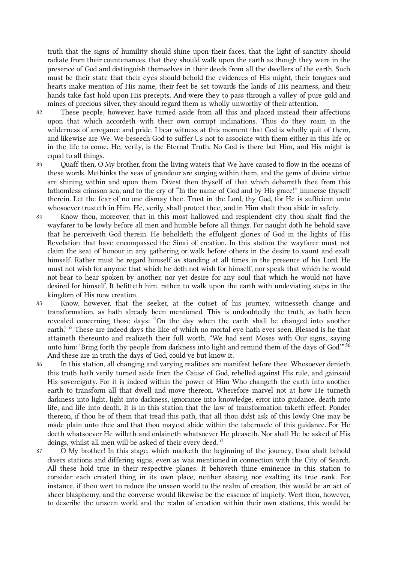truth that the signs of humility should shine upon their faces, that the light of sanctity should radiate from their countenances, that they should walk upon the earth as though they were in the presence of God and distinguish themselves in their deeds from all the dwellers of the earth. Such must be their state that their eyes should behold the evidences of His might, their tongues and hearts make mention of His name, their feet be set towards the lands of His nearness, and their hands take fast hold upon His precepts. And were they to pass through a valley of pure gold and mines of precious silver, they should regard them as wholly unworthy of their attention.

82

These people, however, have turned aside from all this and placed instead their affections upon that which accordeth with their own corrupt inclinations. Thus do they roam in the wilderness of arrogance and pride. I bear witness at this moment that God is wholly quit of them, and likewise are We. We beseech God to suffer Us not to associate with them either in this life or in the life to come. He, verily, is the Eternal Truth. No God is there but Him, and His might is equal to all things.

- Quaff then, O My brother, from the living waters that We have caused to flow in the oceans of these words. Methinks the seas of grandeur are surging within them, and the gems of divine virtue are shining within and upon them. Divest then thyself of that which debarreth thee from this fathomless crimson sea, and to the cry of "In the name of God and by His grace!" immerse thyself therein. Let the fear of no one dismay thee. Trust in the Lord, thy God, for He is sufficient unto whosoever trusteth in Him. He, verily, shall protect thee, and in Him shalt thou abide in safety. 83
- Know thou, moreover, that in this most hallowed and resplendent city thou shalt find the wayfarer to be lowly before all men and humble before all things. For naught doth he behold save that he perceiveth God therein. He beholdeth the effulgent glories of God in the lights of His Revelation that have encompassed the Sinai of creation. In this station the wayfarer must not claim the seat of honour in any gathering or walk before others in the desire to vaunt and exalt himself. Rather must he regard himself as standing at all times in the presence of his Lord. He must not wish for anyone that which he doth not wish for himself, nor speak that which he would not bear to hear spoken by another, nor yet desire for any soul that which he would not have desired for himself. It befitteth him, rather, to walk upon the earth with undeviating steps in the kingdom of His new creation. 84
- <span id="page-16-0"></span>Know, however, that the seeker, at the outset of his journey, witnesseth change and transformation, as hath already been mentioned. This is undoubtedly the truth, as hath been revealed concerning those days: "On the day when the earth shall be changed into another earth."<sup>[55](#page-22-12)</sup> These are indeed days the like of which no mortal eye hath ever seen. Blessed is he that attaineth thereunto and realizeth their full worth. "We had sent Moses with Our signs, saying unto him: 'Bring forth thy people from darkness into light and remind them of the days of God.'"<sup>[56](#page-22-13)</sup> And these are in truth the days of God, could ye but know it. 85
- <span id="page-16-1"></span>In this station, all changing and varying realities are manifest before thee. Whosoever denieth this truth hath verily turned aside from the Cause of God, rebelled against His rule, and gainsaid His sovereignty. For it is indeed within the power of Him Who changeth the earth into another earth to transform all that dwell and move thereon. Wherefore marvel not at how He turneth darkness into light, light into darkness, ignorance into knowledge, error into guidance, death into life, and life into death. It is in this station that the law of transformation taketh effect. Ponder thereon, if thou be of them that tread this path, that all thou didst ask of this lowly One may be made plain unto thee and that thou mayest abide within the tabernacle of this guidance. For He doeth whatsoever He willeth and ordaineth whatsoever He pleaseth. Nor shall He be asked of His doings, whilst all men will be asked of their every deed. [57](#page-22-14) 86
- O My brother! In this stage, which marketh the beginning of the journey, thou shalt behold divers stations and differing signs, even as was mentioned in connection with the City of Search. All these hold true in their respective planes. It behoveth thine eminence in this station to consider each created thing in its own place, neither abasing nor exalting its true rank. For instance, if thou wert to reduce the unseen world to the realm of creation, this would be an act of sheer blasphemy, and the converse would likewise be the essence of impiety. Wert thou, however, to describe the unseen world and the realm of creation within their own stations, this would be 87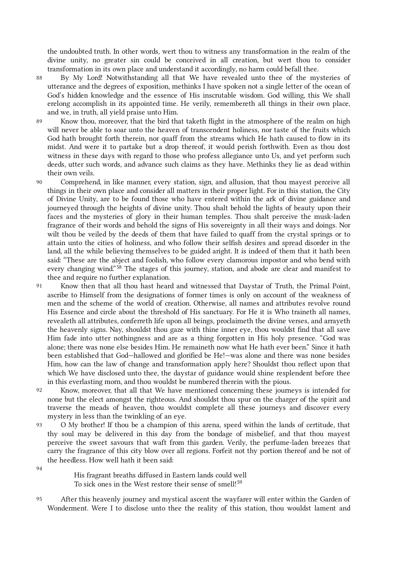the undoubted truth. In other words, wert thou to witness any transformation in the realm of the divine unity, no greater sin could be conceived in all creation, but wert thou to consider transformation in its own place and understand it accordingly, no harm could befall thee.

- By My Lord! Notwithstanding all that We have revealed unto thee of the mysteries of utterance and the degrees of exposition, methinks I have spoken not a single letter of the ocean of God's hidden knowledge and the essence of His inscrutable wisdom. God willing, this We shall erelong accomplish in its appointed time. He verily, remembereth all things in their own place, and we, in truth, all yield praise unto Him. 88
- Know thou, moreover, that the bird that taketh flight in the atmosphere of the realm on high will never be able to soar unto the heaven of transcendent holiness, nor taste of the fruits which God hath brought forth therein, nor quaff from the streams which He hath caused to flow in its midst. And were it to partake but a drop thereof, it would perish forthwith. Even as thou dost witness in these days with regard to those who profess allegiance unto Us, and yet perform such deeds, utter such words, and advance such claims as they have. Methinks they lie as dead within their own veils. 89
- <span id="page-17-0"></span>Comprehend, in like manner, every station, sign, and allusion, that thou mayest perceive all things in their own place and consider all matters in their proper light. For in this station, the City of Divine Unity, are to be found those who have entered within the ark of divine guidance and journeyed through the heights of divine unity. Thou shalt behold the lights of beauty upon their faces and the mysteries of glory in their human temples. Thou shalt perceive the musk-laden fragrance of their words and behold the signs of His sovereignty in all their ways and doings. Nor wilt thou be veiled by the deeds of them that have failed to quaff from the crystal springs or to attain unto the cities of holiness, and who follow their selfish desires and spread disorder in the land, all the while believing themselves to be guided aright. It is indeed of them that it hath been said: "These are the abject and foolish, who follow every clamorous impostor and who bend with every changing wind."<sup>[58](#page-22-15)</sup> The stages of this journey, station, and abode are clear and manifest to thee and require no further explanation. 90
- Know then that all thou hast heard and witnessed that Daystar of Truth, the Primal Point, ascribe to Himself from the designations of former times is only on account of the weakness of men and the scheme of the world of creation. Otherwise, all names and attributes revolve round His Essence and circle about the threshold of His sanctuary. For He it is Who traineth all names, revealeth all attributes, conferreth life upon all beings, proclaimeth the divine verses, and arrayeth the heavenly signs. Nay, shouldst thou gaze with thine inner eye, thou wouldst find that all save Him fade into utter nothingness and are as a thing forgotten in His holy presence. "God was alone; there was none else besides Him. He remaineth now what He hath ever been." Since it hath been established that God—hallowed and glorified be He!—was alone and there was none besides Him, how can the law of change and transformation apply here? Shouldst thou reflect upon that which We have disclosed unto thee, the daystar of guidance would shine resplendent before thee in this everlasting morn, and thou wouldst be numbered therein with the pious. 91
- Know, moreover, that all that We have mentioned concerning these journeys is intended for none but the elect amongst the righteous. And shouldst thou spur on the charger of the spirit and traverse the meads of heaven, thou wouldst complete all these journeys and discover every mystery in less than the twinkling of an eye. 92
- O My brother! If thou be a champion of this arena, speed within the lands of certitude, that thy soul may be delivered in this day from the bondage of misbelief, and that thou mayest perceive the sweet savours that waft from this garden. Verily, the perfume-laden breezes that carry the fragrance of this city blow over all regions. Forfeit not thy portion thereof and be not of the heedless. How well hath it been said:  $93$
- <span id="page-17-1"></span> $94$

His fragrant breaths diffused in Eastern lands could well To sick ones in the West restore their sense of smell! [59](#page-22-16)

<span id="page-17-2"></span>After this heavenly journey and mystical ascent the wayfarer will enter within the Garden of Wonderment. Were I to disclose unto thee the reality of this station, thou wouldst lament and 95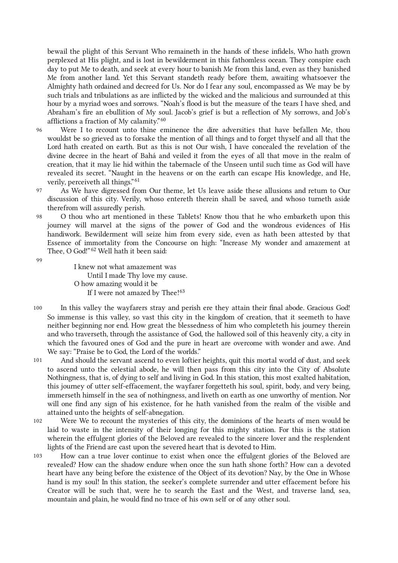bewail the plight of this Servant Who remaineth in the hands of these infidels, Who hath grown perplexed at His plight, and is lost in bewilderment in this fathomless ocean. They conspire each day to put Me to death, and seek at every hour to banish Me from this land, even as they banished Me from another land. Yet this Servant standeth ready before them, awaiting whatsoever the Almighty hath ordained and decreed for Us. Nor do I fear any soul, encompassed as We may be by such trials and tribulations as are inflicted by the wicked and the malicious and surrounded at this hour by a myriad woes and sorrows. "Noah's flood is but the measure of the tears I have shed, and Abraham's fire an ebullition of My soul. Jacob's grief is but a reflection of My sorrows, and Job's afflictions a fraction of My calamity."<sup>[60](#page-22-17)</sup>

- <span id="page-18-0"></span>Were I to recount unto thine eminence the dire adversities that have befallen Me, thou wouldst be so grieved as to forsake the mention of all things and to forget thyself and all that the Lord hath created on earth. But as this is not Our wish, I have concealed the revelation of the divine decree in the heart of Bahá and veiled it from the eyes of all that move in the realm of creation, that it may lie hid within the tabernacle of the Unseen until such time as God will have revealed its secret. "Naught in the heavens or on the earth can escape His knowledge, and He, verily, perceiveth all things." [61](#page-22-18) 96
- As We have digressed from Our theme, let Us leave aside these allusions and return to Our discussion of this city. Verily, whoso entereth therein shall be saved, and whoso turneth aside therefrom will assuredly perish. 97
- <span id="page-18-1"></span>O thou who art mentioned in these Tablets! Know thou that he who embarketh upon this journey will marvel at the signs of the power of God and the wondrous evidences of His handiwork. Bewilderment will seize him from every side, even as hath been attested by that Essence of immortality from the Concourse on high: "Increase My wonder and amazement at Thee, O God!" [62](#page-22-19) Well hath it been said: 98

<span id="page-18-2"></span> $99$ 

I knew not what amazement was Until I made Thy love my cause. O how amazing would it be If I were not amazed by Thee!<sup>[63](#page-22-20)</sup>

- In this valley the wayfarers stray and perish ere they attain their final abode. Gracious God! So immense is this valley, so vast this city in the kingdom of creation, that it seemeth to have neither beginning nor end. How great the blessedness of him who completeth his journey therein and who traverseth, through the assistance of God, the hallowed soil of this heavenly city, a city in which the favoured ones of God and the pure in heart are overcome with wonder and awe. And We say: "Praise be to God, the Lord of the worlds." 100
- And should the servant ascend to even loftier heights, quit this mortal world of dust, and seek to ascend unto the celestial abode, he will then pass from this city into the City of Absolute Nothingness, that is, of dying to self and living in God. In this station, this most exalted habitation, this journey of utter self-effacement, the wayfarer forgetteth his soul, spirit, body, and very being, immerseth himself in the sea of nothingness, and liveth on earth as one unworthy of mention. Nor will one find any sign of his existence, for he hath vanished from the realm of the visible and attained unto the heights of self-abnegation. 101
- Were We to recount the mysteries of this city, the dominions of the hearts of men would be laid to waste in the intensity of their longing for this mighty station. For this is the station wherein the effulgent glories of the Beloved are revealed to the sincere lover and the resplendent lights of the Friend are cast upon the severed heart that is devoted to Him. 102
- How can a true lover continue to exist when once the effulgent glories of the Beloved are revealed? How can the shadow endure when once the sun hath shone forth? How can a devoted heart have any being before the existence of the Object of its devotion? Nay, by the One in Whose hand is my soul! In this station, the seeker's complete surrender and utter effacement before his Creator will be such that, were he to search the East and the West, and traverse land, sea, mountain and plain, he would find no trace of his own self or of any other soul. 103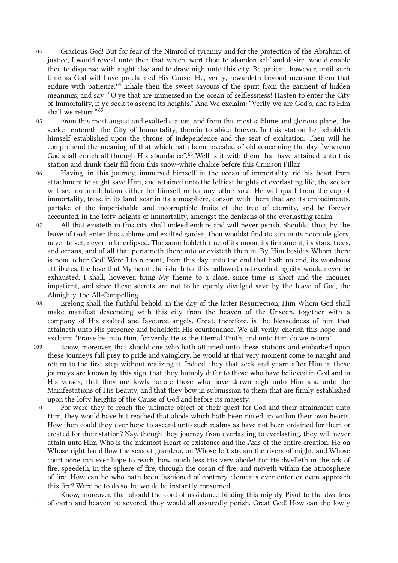- <span id="page-19-0"></span>Gracious God! But for fear of the Nimrod of tyranny and for the protection of the Abraham of justice, I would reveal unto thee that which, wert thou to abandon self and desire, would enable thee to dispense with aught else and to draw nigh unto this city. Be patient, however, until such time as God will have proclaimed His Cause. He, verily, rewardeth beyond measure them that endure with patience.<sup>[64](#page-22-21)</sup> Inhale then the sweet savours of the spirit from the garment of hidden meanings, and say: "O ye that are immersed in the ocean of selflessness! Hasten to enter the City of Immortality, if ye seek to ascend its heights." And We exclaim: "Verily we are God's, and to Him shall we return." [65](#page-22-22) 104
- <span id="page-19-1"></span>From this most august and exalted station, and from this most sublime and glorious plane, the seeker entereth the City of Immortality, therein to abide forever. In this station he beholdeth himself established upon the throne of independence and the seat of exaltation. Then will he comprehend the meaning of that which hath been revealed of old concerning the day "whereon God shall enrich all through His abundance".<sup>[66](#page-22-23)</sup> Well is it with them that have attained unto this station and drunk their fill from this snow-white chalice before this Crimson Pillar. 105
- Having, in this journey, immersed himself in the ocean of immortality, rid his heart from attachment to aught save Him, and attained unto the loftiest heights of everlasting life, the seeker will see no annihilation either for himself or for any other soul. He will quaff from the cup of immortality, tread in its land, soar in its atmosphere, consort with them that are its embodiments, partake of the imperishable and incorruptible fruits of the tree of eternity, and be forever accounted, in the lofty heights of immortality, amongst the denizens of the everlasting realm. 106
- All that existeth in this city shall indeed endure and will never perish. Shouldst thou, by the leave of God, enter this sublime and exalted garden, thou wouldst find its sun in its noontide glory, never to set, never to be eclipsed. The same holdeth true of its moon, its firmament, its stars, trees, and oceans, and of all that pertaineth thereunto or existeth therein. By Him besides Whom there is none other God! Were I to recount, from this day unto the end that hath no end, its wondrous attributes, the love that My heart cherisheth for this hallowed and everlasting city would never be exhausted. I shall, however, bring My theme to a close, since time is short and the inquirer impatient, and since these secrets are not to be openly divulged save by the leave of God, the Almighty, the All-Compelling. 107
- Erelong shall the faithful behold, in the day of the latter Resurrection, Him Whom God shall make manifest descending with this city from the heaven of the Unseen, together with a company of His exalted and favoured angels. Great, therefore, is the blessedness of him that attaineth unto His presence and beholdeth His countenance. We all, verily, cherish this hope, and exclaim: "Praise be unto Him, for verily He is the Eternal Truth, and unto Him do we return!" 108
- Know, moreover, that should one who hath attained unto these stations and embarked upon these journeys fall prey to pride and vainglory, he would at that very moment come to naught and return to the first step without realizing it. Indeed, they that seek and yearn after Him in these journeys are known by this sign, that they humbly defer to those who have believed in God and in His verses, that they are lowly before those who have drawn nigh unto Him and unto the Manifestations of His Beauty, and that they bow in submission to them that are firmly established upon the lofty heights of the Cause of God and before its majesty. 109
- For were they to reach the ultimate object of their quest for God and their attainment unto Him, they would have but reached that abode which hath been raised up within their own hearts. How then could they ever hope to ascend unto such realms as have not been ordained for them or created for their station? Nay, though they journey from everlasting to everlasting, they will never attain unto Him Who is the midmost Heart of existence and the Axis of the entire creation, He on Whose right hand flow the seas of grandeur, on Whose left stream the rivers of might, and Whose court none can ever hope to reach, how much less His very abode! For He dwelleth in the ark of fire, speedeth, in the sphere of fire, through the ocean of fire, and moveth within the atmosphere of fire. How can he who hath been fashioned of contrary elements ever enter or even approach this fire? Were he to do so, he would be instantly consumed. 110
- Know, moreover, that should the cord of assistance binding this mighty Pivot to the dwellers of earth and heaven be severed, they would all assuredly perish. Great God! How can the lowly 111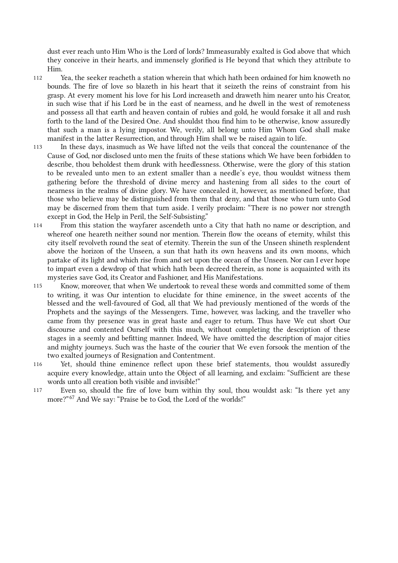dust ever reach unto Him Who is the Lord of lords? Immeasurably exalted is God above that which they conceive in their hearts, and immensely glorified is He beyond that which they attribute to Him.

- Yea, the seeker reacheth a station wherein that which hath been ordained for him knoweth no bounds. The fire of love so blazeth in his heart that it seizeth the reins of constraint from his grasp. At every moment his love for his Lord increaseth and draweth him nearer unto his Creator, in such wise that if his Lord be in the east of nearness, and he dwell in the west of remoteness and possess all that earth and heaven contain of rubies and gold, he would forsake it all and rush forth to the land of the Desired One. And shouldst thou find him to be otherwise, know assuredly that such a man is a lying impostor. We, verily, all belong unto Him Whom God shall make manifest in the latter Resurrection, and through Him shall we be raised again to life. 112
- In these days, inasmuch as We have lifted not the veils that conceal the countenance of the Cause of God, nor disclosed unto men the fruits of these stations which We have been forbidden to describe, thou beholdest them drunk with heedlessness. Otherwise, were the glory of this station to be revealed unto men to an extent smaller than a needle's eye, thou wouldst witness them gathering before the threshold of divine mercy and hastening from all sides to the court of nearness in the realms of divine glory. We have concealed it, however, as mentioned before, that those who believe may be distinguished from them that deny, and that those who turn unto God may be discerned from them that turn aside. I verily proclaim: "There is no power nor strength except in God, the Help in Peril, the Self-Subsisting." 113
- From this station the wayfarer ascendeth unto a City that hath no name or description, and whereof one heareth neither sound nor mention. Therein flow the oceans of eternity, whilst this city itself revolveth round the seat of eternity. Therein the sun of the Unseen shineth resplendent above the horizon of the Unseen, a sun that hath its own heavens and its own moons, which partake of its light and which rise from and set upon the ocean of the Unseen. Nor can I ever hope to impart even a dewdrop of that which hath been decreed therein, as none is acquainted with its mysteries save God, its Creator and Fashioner, and His Manifestations. 114
- Know, moreover, that when We undertook to reveal these words and committed some of them to writing, it was Our intention to elucidate for thine eminence, in the sweet accents of the blessed and the well-favoured of God, all that We had previously mentioned of the words of the Prophets and the sayings of the Messengers. Time, however, was lacking, and the traveller who came from thy presence was in great haste and eager to return. Thus have We cut short Our discourse and contented Ourself with this much, without completing the description of these stages in a seemly and befitting manner. Indeed, We have omitted the description of major cities and mighty journeys. Such was the haste of the courier that We even forsook the mention of the two exalted journeys of Resignation and Contentment. 115
- Yet, should thine eminence reflect upon these brief statements, thou wouldst assuredly acquire every knowledge, attain unto the Object of all learning, and exclaim: "Sufficient are these words unto all creation both visible and invisible!" 116
- <span id="page-20-0"></span>Even so, should the fire of love burn within thy soul, thou wouldst ask: "Is there yet any more?" [67](#page-22-24) And We say: "Praise be to God, the Lord of the worlds!" 117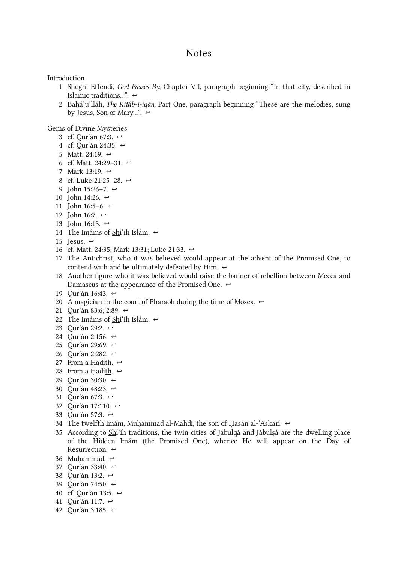## <span id="page-21-0"></span>Notes

Introduction

- <span id="page-21-1"></span>1 Shoghi Effendi, God Passes By, Chapter VII, paragraph beginning "In that city, described in Islamic traditions...".  $\leftrightarrow$
- <span id="page-21-2"></span>2 Bahá'u'lláh, *The Kitáb-i-íqán*, Part One, paragraph beginning "These are the melodies, sung by Jesus, Son of Mary...".  $\leftrightarrow$

Gems of Divine Mysteries

- <span id="page-21-3"></span>cf. Qur'án 67:3. [↩](#page-2-1) 3
- <span id="page-21-4"></span>cf. Qur'án 24:35. [↩](#page-3-0) 4
- <span id="page-21-5"></span>5 Matt. 24:19.  $\leftrightarrow$
- <span id="page-21-6"></span>6 cf. Matt. 24:29–31.  $\leftrightarrow$
- <span id="page-21-7"></span>7 Mark 13:19.  $\leftrightarrow$
- <span id="page-21-8"></span>8 cf. Luke 21:25–28.  $\leftrightarrow$
- <span id="page-21-9"></span>John 15:26–7. [↩](#page-3-4) 9
- <span id="page-21-10"></span>10 John 14:26.  $\leftrightarrow$
- <span id="page-21-11"></span>11 John 16:5–6.  $\leftrightarrow$
- <span id="page-21-12"></span>12 John 16:7.  $\leftrightarrow$
- <span id="page-21-13"></span>13 John 16:13.  $\leftrightarrow$
- <span id="page-21-14"></span>14 The Imáms of  $\text{Sh}'$ ih Islám.  $\leftrightarrow$
- <span id="page-21-15"></span>15 Jesus.  $\leftrightarrow$
- <span id="page-21-16"></span>16 cf. Matt. 24:35; Mark 13:31; Luke 21:33. ↔
- <span id="page-21-17"></span>17 The Antichrist, who it was believed would appear at the advent of the Promised One, to contend with and be ultimately defeated by Him.  $\leftrightarrow$
- <span id="page-21-18"></span>Another figure who it was believed would raise the banner of rebellion between Mecca and 18 Damascus at the appearance of the Promised One.  $\leftrightarrow$
- <span id="page-21-19"></span>Qur'án 16:43. [↩](#page-6-1) 19
- <span id="page-21-20"></span>20 A magician in the court of Pharaoh during the time of Moses.  $\leftrightarrow$
- <span id="page-21-21"></span>Qur'án 83:6; 2:89. [↩](#page-6-2) 21
- <span id="page-21-22"></span>22 The Imáms of <u>Sh</u>í'ih Islám. ↔
- <span id="page-21-23"></span>Qur'án 29:2. [↩](#page-7-0) 23
- <span id="page-21-24"></span>Qur'án 2:156. [↩](#page-7-1) 24
- <span id="page-21-25"></span>Qur'án 29:69. [↩](#page-8-0) 25
- <span id="page-21-26"></span>Qur'án 2:282. [↩](#page-8-0) 26
- <span id="page-21-27"></span>27 From a Ḥadí<u>th</u>. ↔
- <span id="page-21-28"></span>28 From a Ḥadí<u>th</u>. ↔
- <span id="page-21-29"></span>Qur'án 30:30. [↩](#page-9-0) 29
- <span id="page-21-30"></span>Qur'án 48:23. [↩](#page-9-0) 30
- <span id="page-21-31"></span>Qur'án 67:3. [↩](#page-9-0) 31
- <span id="page-21-32"></span>Qur'án 17:110. [↩](#page-9-1) 32
- <span id="page-21-33"></span>Qur'án 57:3. [↩](#page-9-2) 33
- <span id="page-21-34"></span>34 The twelfth Imám, Muḥammad al-Mahdí, the son of Ḥasan al-ʿAskarí. ↔
- <span id="page-21-35"></span>35 According to Shí'ih traditions, the twin cities of Jábulqá and Jábulsá are the dwelling place of the Hidden Imám (the Promised One), whence He will appear on the Day of Resurrection.  $\leftrightarrow$
- <span id="page-21-36"></span>36 Muḥammad. ↔
- <span id="page-21-37"></span>Qur'án 33:40. [↩](#page-11-0) 37
- <span id="page-21-38"></span>Qur'án 13:2. [↩](#page-12-0) 38
- <span id="page-21-39"></span>Qur'án 74:50. [↩](#page-12-1) 39
- <span id="page-21-40"></span>40 cf. Qur'án 13:5. ↔
- <span id="page-21-41"></span>Qur'án 11:7. [↩](#page-12-2) 41
- <span id="page-21-42"></span>Qur'án 3:185. [↩](#page-13-0) 42